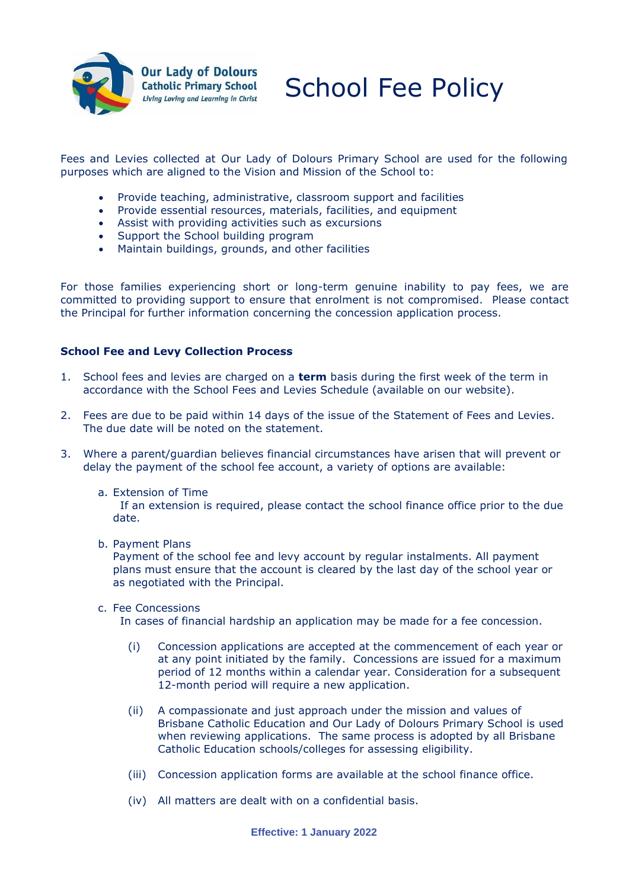

School Fee Policy

Fees and Levies collected at Our Lady of Dolours Primary School are used for the following purposes which are aligned to the Vision and Mission of the School to:

- Provide teaching, administrative, classroom support and facilities
- Provide essential resources, materials, facilities, and equipment
- Assist with providing activities such as excursions
- Support the School building program
- Maintain buildings, grounds, and other facilities

For those families experiencing short or long-term genuine inability to pay fees, we are committed to providing support to ensure that enrolment is not compromised. Please contact the Principal for further information concerning the concession application process.

## **School Fee and Levy Collection Process**

- 1. School fees and levies are charged on a **term** basis during the first week of the term in accordance with the School Fees and Levies Schedule (available on our website).
- 2. Fees are due to be paid within 14 days of the issue of the Statement of Fees and Levies. The due date will be noted on the statement.
- 3. Where a parent/guardian believes financial circumstances have arisen that will prevent or delay the payment of the school fee account, a variety of options are available:
	- a. Extension of Time

 If an extension is required, please contact the school finance office prior to the due date.

b. Payment Plans

Payment of the school fee and levy account by regular instalments. All payment plans must ensure that the account is cleared by the last day of the school year or as negotiated with the Principal.

c. Fee Concessions

In cases of financial hardship an application may be made for a fee concession.

- (i) Concession applications are accepted at the commencement of each year or at any point initiated by the family. Concessions are issued for a maximum period of 12 months within a calendar year. Consideration for a subsequent 12-month period will require a new application.
- (ii) A compassionate and just approach under the mission and values of Brisbane Catholic Education and Our Lady of Dolours Primary School is used when reviewing applications. The same process is adopted by all Brisbane Catholic Education schools/colleges for assessing eligibility.
- (iii) Concession application forms are available at the school finance office.
- (iv) All matters are dealt with on a confidential basis.